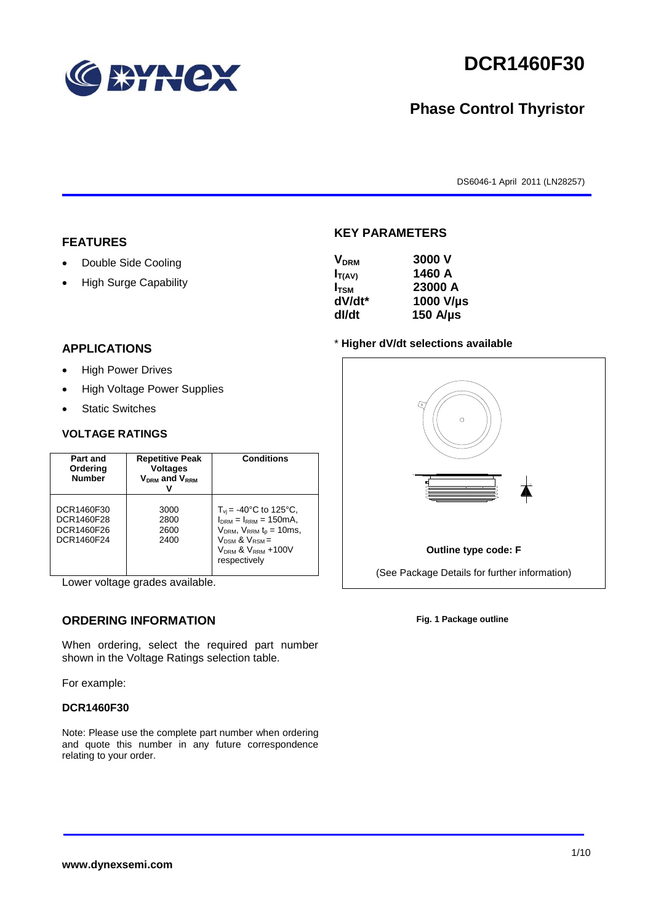

# **DCR1460F30**

## **Phase Control Thyristor**

DS6046-1 April 2011 (LN28257)

#### **FEATURES**

- Double Side Cooling
- High Surge Capability

## **KEY PARAMETERS**  $V = 3000 V$

| <b>V</b> <sub>DRM</sub> | JUUU V           |
|-------------------------|------------------|
| $I_{T(AV)}$             | 1460 A           |
| $I_{TSM}$               | 23000 A          |
| dV/dt*                  | 1000 V/µs        |
| dl/dt                   | $150$ A/ $\mu$ s |
|                         |                  |

#### **APPLICATIONS**

- High Power Drives
- High Voltage Power Supplies
- Static Switches

#### **VOLTAGE RATINGS**

| Part and<br>Ordering<br><b>Number</b>                | <b>Repetitive Peak</b><br><b>Voltages</b><br>$V_{DRM}$ and $V_{RRM}$ | <b>Conditions</b>                                                                                                                                                                                  |
|------------------------------------------------------|----------------------------------------------------------------------|----------------------------------------------------------------------------------------------------------------------------------------------------------------------------------------------------|
| DCR1460F30<br>DCR1460F28<br>DCR1460F26<br>DCR1460F24 | 3000<br>2800<br>2600<br>2400                                         | $T_{vi}$ = -40°C to 125°C,<br>$I_{DRM} = I_{RRM} = 150 \text{mA}$<br>$V_{DRM}$ , $V_{RRM}$ $t_{p}$ = 10ms,<br>$V_{DSM}$ & $V_{RSM}$ =<br>V <sub>DRM</sub> & V <sub>RRM</sub> +100V<br>respectively |

Lower voltage grades available.

### **ORDERING INFORMATION**

When ordering, select the required part number shown in the Voltage Ratings selection table.

For example:

#### **DCR1460F30**

Note: Please use the complete part number when ordering and quote this number in any future correspondence relating to your order.





**Fig. 1 Package outline**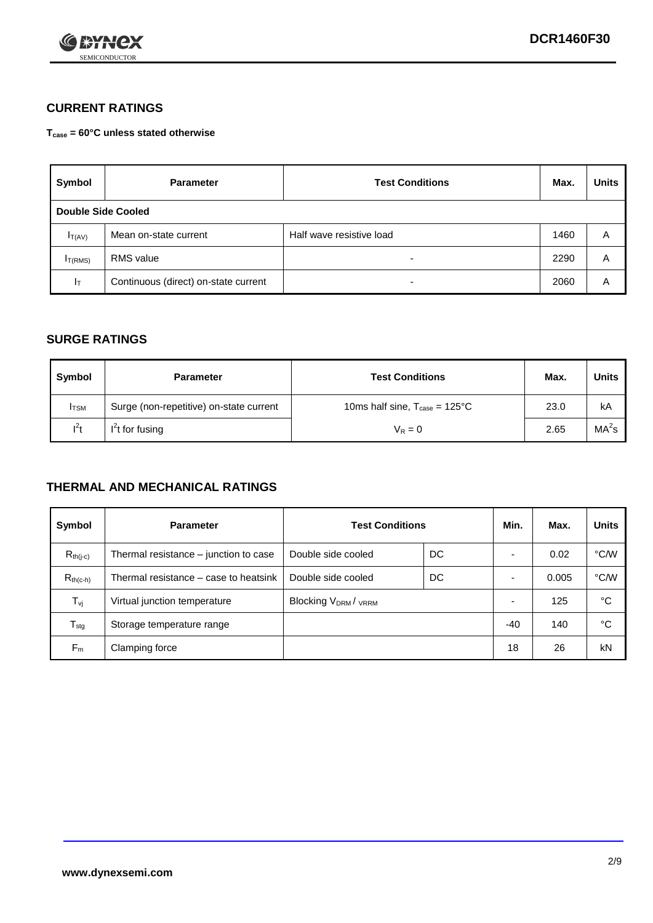

### **CURRENT RATINGS**

**Tcase = 60°C unless stated otherwise**

| Symbol             | <b>Parameter</b>                     | <b>Test Conditions</b>   | Max. | <b>Units</b> |
|--------------------|--------------------------------------|--------------------------|------|--------------|
| Double Side Cooled |                                      |                          |      |              |
| $I_{T(AV)}$        | Mean on-state current                | Half wave resistive load | 1460 | A            |
| $I_{T(RMS)}$       | <b>RMS</b> value                     | $\overline{\phantom{0}}$ | 2290 | Α            |
| Iт                 | Continuous (direct) on-state current | $\overline{\phantom{0}}$ | 2060 | Α            |

#### **SURGE RATINGS**

| Symbol       | <b>Parameter</b>                        | <b>Test Conditions</b>                           | Max. | <b>Units</b>      |
|--------------|-----------------------------------------|--------------------------------------------------|------|-------------------|
| <b>I</b> TSM | Surge (non-repetitive) on-state current | 10ms half sine, $T_{\text{case}} = 125^{\circ}C$ | 23.0 | kA                |
| $l^2t$       | I <sup>2</sup> t for fusing             | $V_R = 0$                                        | 2.65 | MA <sup>2</sup> S |

#### **THERMAL AND MECHANICAL RATINGS**

| Symbol           | <b>Parameter</b>                      | <b>Test Conditions</b>    |    | Min. | Max.  | <b>Units</b> |
|------------------|---------------------------------------|---------------------------|----|------|-------|--------------|
| $R_{th(i-c)}$    | Thermal resistance – junction to case | Double side cooled        | DC |      | 0.02  | °C/W         |
| $R_{th(c-h)}$    | Thermal resistance – case to heatsink | Double side cooled        | DC |      | 0.005 | °C/W         |
| $T_{\nu j}$      | Virtual junction temperature          | <b>Blocking VDRM/VRRM</b> |    |      | 125   | °C           |
| $T_{\text{stg}}$ | Storage temperature range             |                           |    | -40  | 140   | °C           |
| $F_m$            | Clamping force                        |                           |    | 18   | 26    | kN           |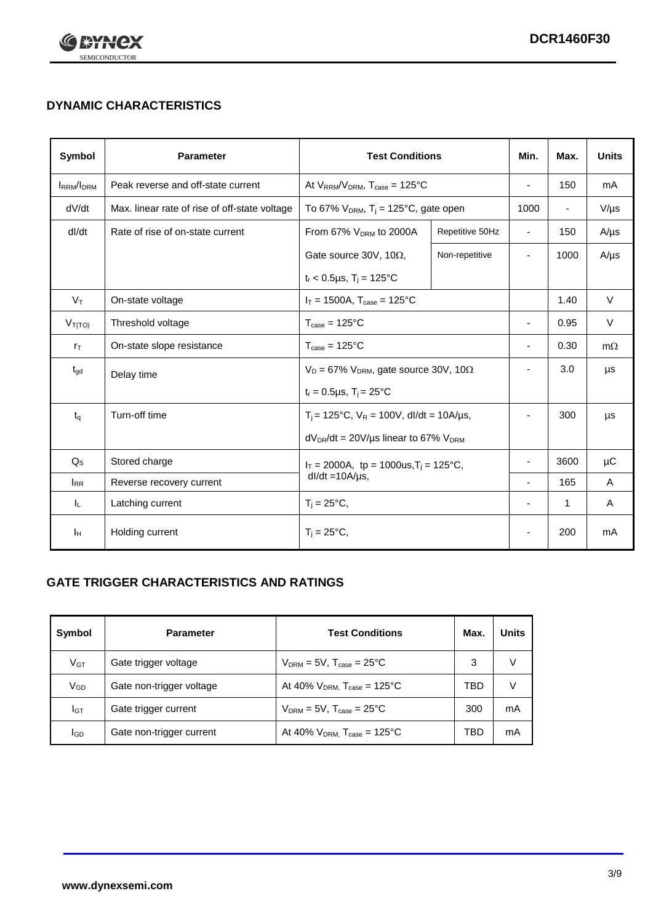

## **DYNAMIC CHARACTERISTICS**

| Symbol            | <b>Parameter</b>                              | <b>Test Conditions</b>                                                |                 | Min.                     | Max.                     | <b>Units</b> |
|-------------------|-----------------------------------------------|-----------------------------------------------------------------------|-----------------|--------------------------|--------------------------|--------------|
| <b>IRRM</b> /IDRM | Peak reverse and off-state current            | At $V_{RRM}/V_{DRM}$ , $T_{case} = 125^{\circ}C$                      |                 | $\overline{a}$           | 150                      | mA           |
| dV/dt             | Max. linear rate of rise of off-state voltage | To 67% $V_{DRM}$ , T <sub>i</sub> = 125°C, gate open                  |                 | 1000                     | $\overline{\phantom{a}}$ | $V/\mu s$    |
| dl/dt             | Rate of rise of on-state current              | From 67% $V_{DRM}$ to 2000A                                           | Repetitive 50Hz | $\overline{\phantom{a}}$ | 150                      | $A/\mu s$    |
|                   |                                               | Gate source 30V, 10 $\Omega$ ,                                        | Non-repetitive  | ٠                        | 1000                     | $A/\mu s$    |
|                   |                                               | $t_r$ < 0.5µs, $T_i$ = 125°C                                          |                 |                          |                          |              |
| $V_T$             | On-state voltage                              | $I_T = 1500A$ , $T_{case} = 125^{\circ}C$                             |                 |                          | 1.40                     | $\vee$       |
| $V_{T(TO)}$       | Threshold voltage                             | $T_{\text{case}} = 125^{\circ}C$                                      |                 | ä,                       | 0.95                     | $\vee$       |
| $r_{\text{T}}$    | On-state slope resistance                     | $T_{\text{case}} = 125^{\circ}C$                                      |                 | ÷,                       | 0.30                     | $m\Omega$    |
| $t_{\rm gd}$      | Delay time                                    | $V_D = 67\%$ V <sub>DRM</sub> , gate source 30V, 10 $\Omega$          |                 |                          | 3.0                      | μs           |
|                   |                                               | $t_r = 0.5 \mu s$ , $T_i = 25^{\circ}C$                               |                 |                          |                          |              |
| $t_{q}$           | Turn-off time                                 | $T_i$ = 125°C, $V_R$ = 100V, dl/dt = 10A/µs,                          |                 | ٠                        | 300                      | μs           |
|                   |                                               | $dV_{DR}/dt = 20 V/\mu s$ linear to 67% $V_{DRM}$                     |                 |                          |                          |              |
| $Q_{\rm S}$       | Stored charge                                 | $I_T = 2000A$ , tp = 1000us, $T_j = 125$ °C,<br>$dl/dt = 10A/\mu s$ , |                 |                          | 3600                     | μC           |
| $I_{RR}$          | Reverse recovery current                      |                                                                       |                 |                          | 165                      | A            |
| IL.               | Latching current                              | $T_i = 25^{\circ}C$ ,                                                 |                 | $\overline{\phantom{0}}$ | 1                        | Α            |
| ΙH                | Holding current                               | $T_i = 25^{\circ}C$ ,                                                 |                 |                          | 200                      | mA           |

### **GATE TRIGGER CHARACTERISTICS AND RATINGS**

| Symbol          | <b>Parameter</b>         | <b>Test Conditions</b>                    | Max. | <b>Units</b> |
|-----------------|--------------------------|-------------------------------------------|------|--------------|
| V <sub>GT</sub> | Gate trigger voltage     | $V_{DRM}$ = 5V, $T_{case}$ = 25°C         | 3    |              |
| $V_{GD}$        | Gate non-trigger voltage | At 40% $V_{DRM}$ , $T_{case}$ = 125°C     | TBD  |              |
| Iст             | Gate trigger current     | $V_{DRM} = 5V$ , $T_{case} = 25^{\circ}C$ | 300  | mA           |
| <b>I</b> GD     | Gate non-trigger current | At 40% $V_{DRM}$ , $T_{case}$ = 125°C     | TBD  | mA           |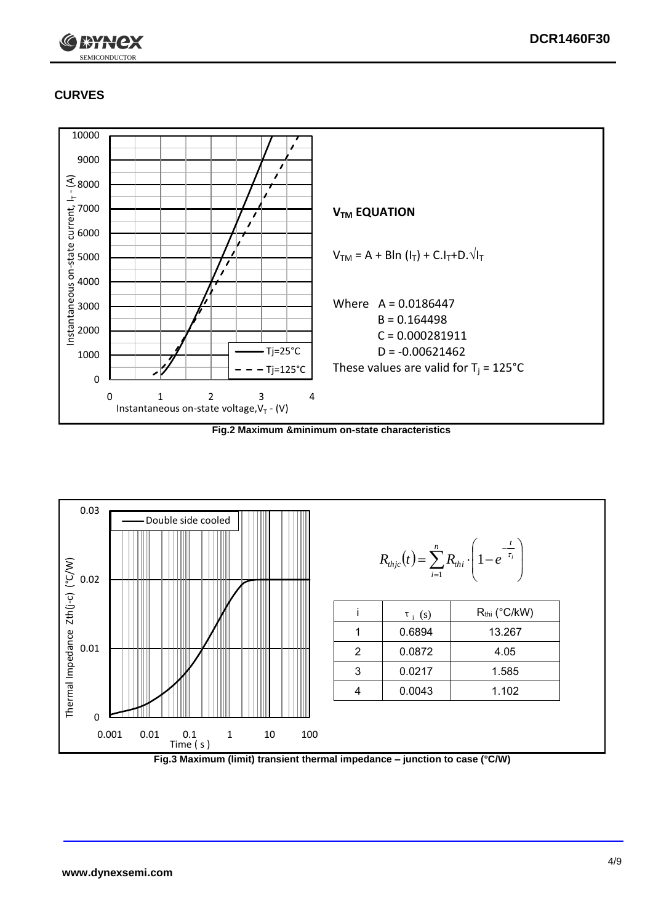

## **CURVES**



**Fig.2 Maximum &minimum on-state characteristics**



**Fig.3 Maximum (limit) transient thermal impedance – junction to case (°C/W)**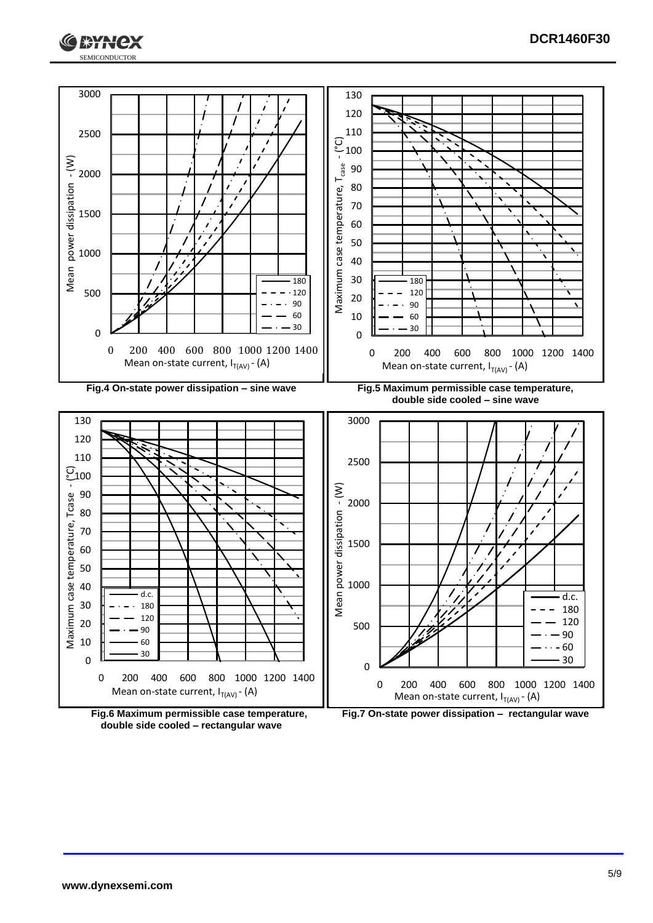





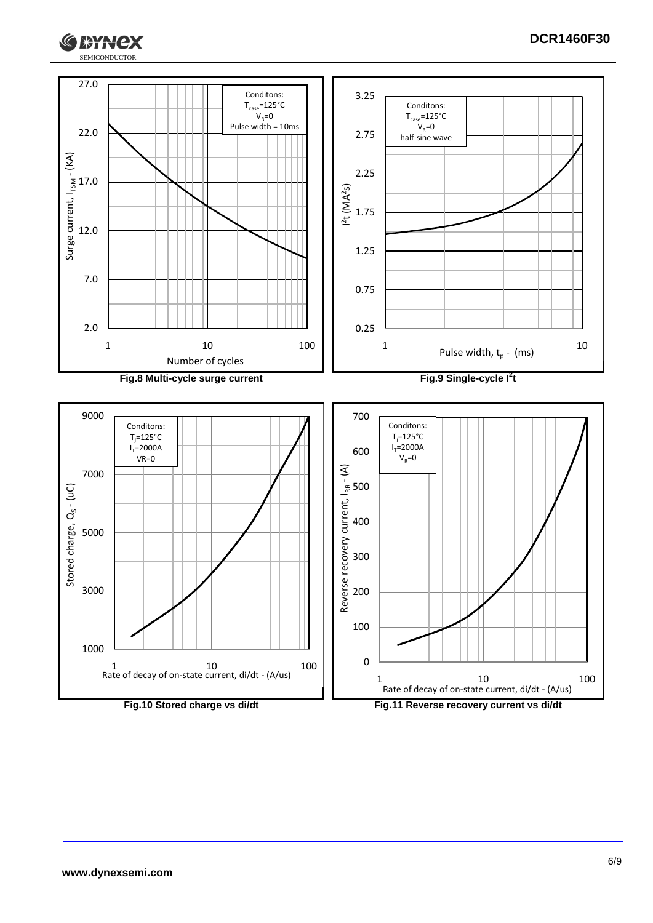



ЖАНСХ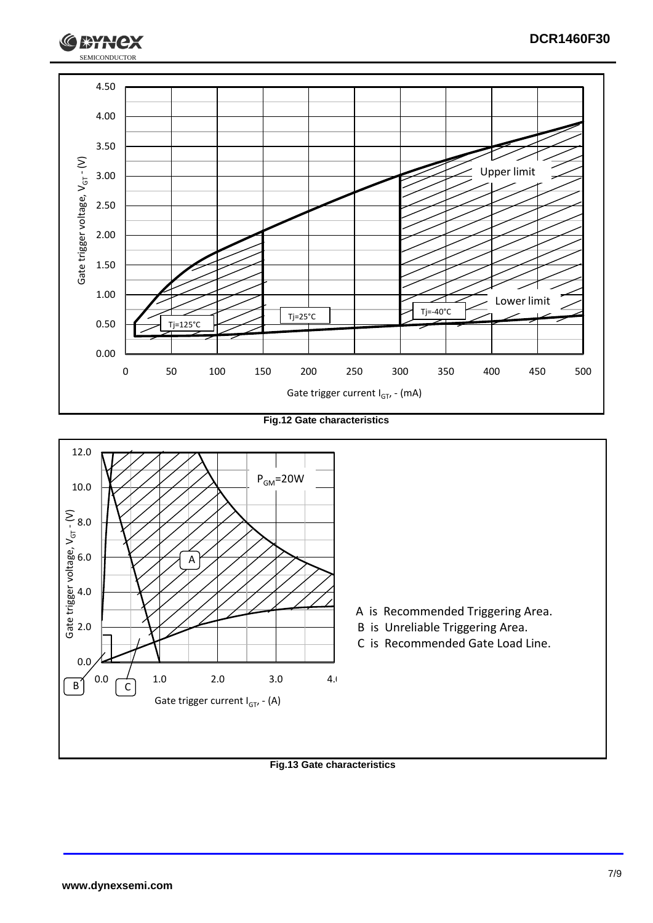

**Fig.12 Gate characteristics**



**Fig.13 Gate characteristics**

SEMICONDUCTOR

**RYH**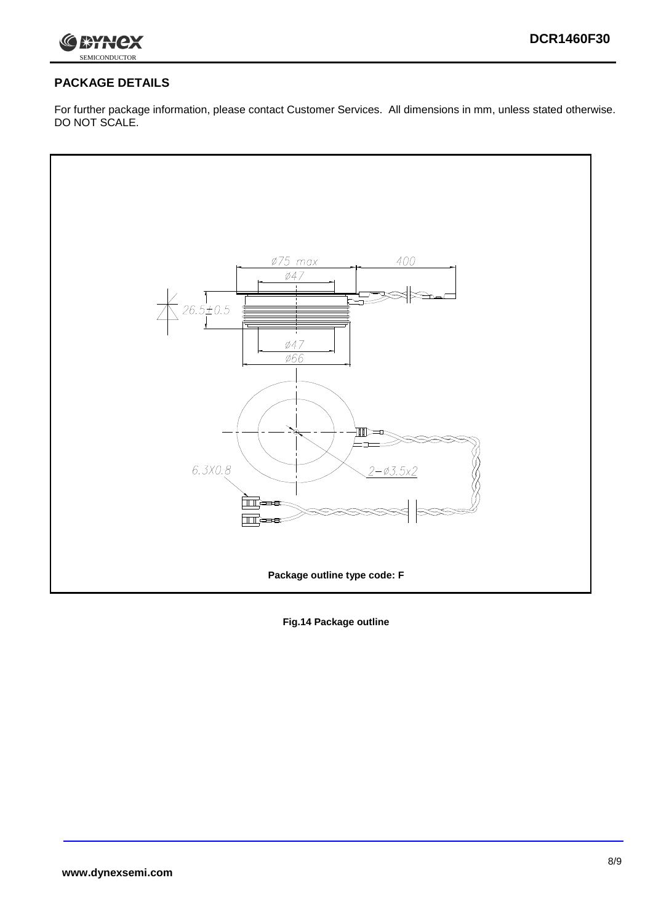

### **PACKAGE DETAILS**

For further package information, please contact Customer Services. All dimensions in mm, unless stated otherwise. DO NOT SCALE.



**Fig.14 Package outline**